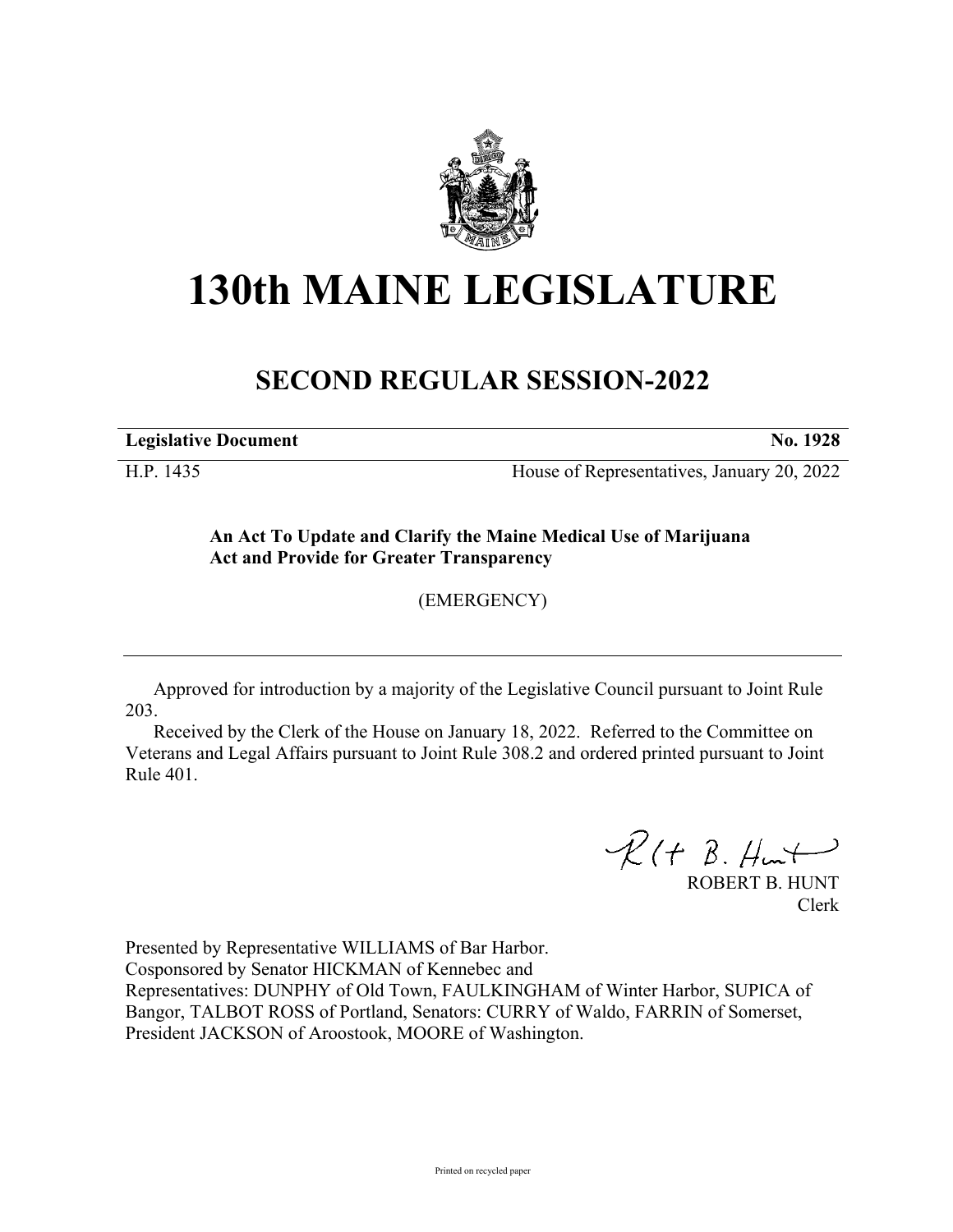

## **130th MAINE LEGISLATURE**

## **SECOND REGULAR SESSION-2022**

**Legislative Document No. 1928**

H.P. 1435 House of Representatives, January 20, 2022

**An Act To Update and Clarify the Maine Medical Use of Marijuana Act and Provide for Greater Transparency**

(EMERGENCY)

Approved for introduction by a majority of the Legislative Council pursuant to Joint Rule 203.

Received by the Clerk of the House on January 18, 2022. Referred to the Committee on Veterans and Legal Affairs pursuant to Joint Rule 308.2 and ordered printed pursuant to Joint Rule 401.

 $R(H B. H<sup>u</sup>)$ 

ROBERT B. HUNT Clerk

Presented by Representative WILLIAMS of Bar Harbor. Cosponsored by Senator HICKMAN of Kennebec and Representatives: DUNPHY of Old Town, FAULKINGHAM of Winter Harbor, SUPICA of Bangor, TALBOT ROSS of Portland, Senators: CURRY of Waldo, FARRIN of Somerset, President JACKSON of Aroostook, MOORE of Washington.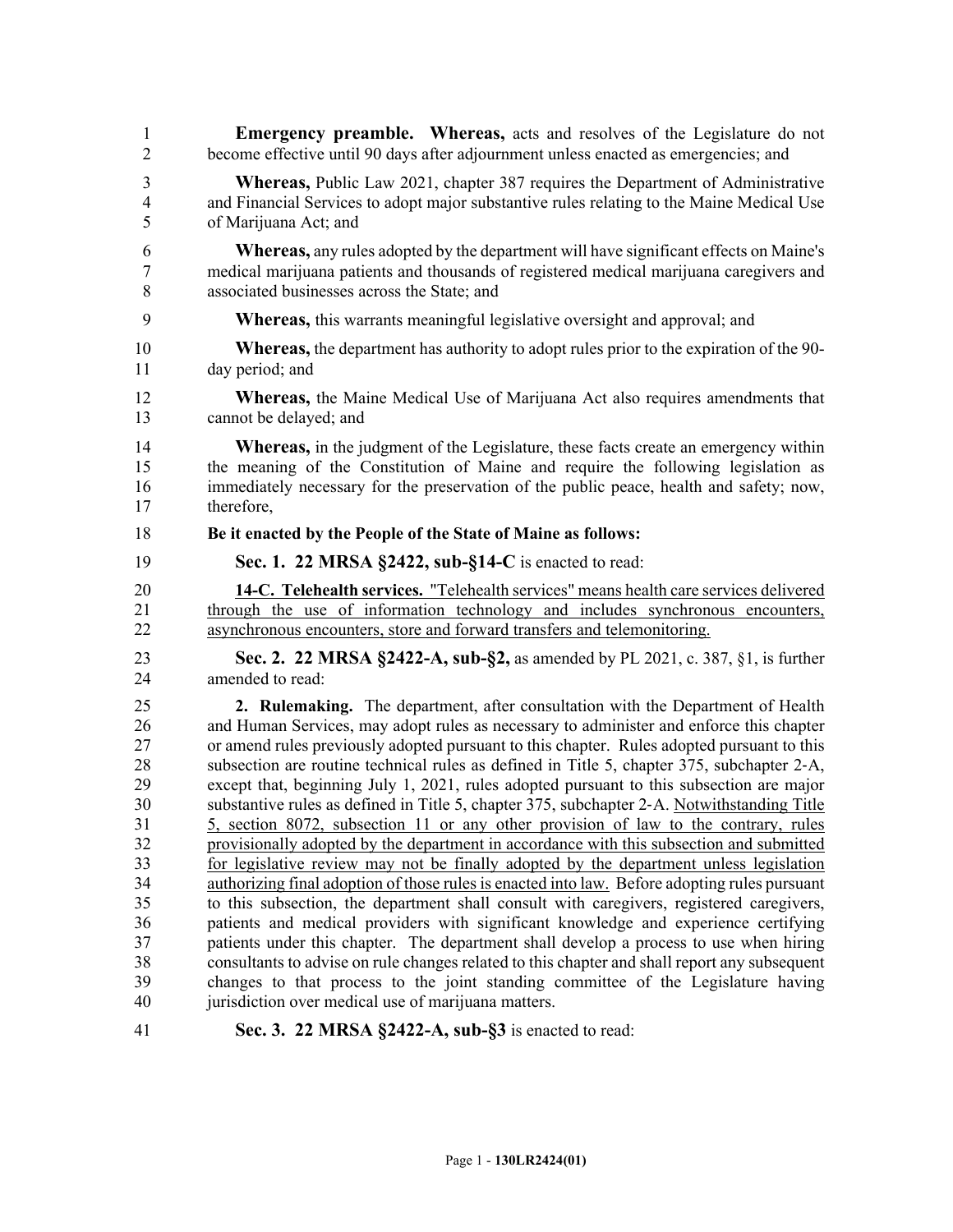| 1              | <b>Emergency preamble.</b> Whereas, acts and resolves of the Legislature do not                |
|----------------|------------------------------------------------------------------------------------------------|
| $\overline{2}$ | become effective until 90 days after adjournment unless enacted as emergencies; and            |
| $\mathfrak{Z}$ | <b>Whereas, Public Law 2021, chapter 387 requires the Department of Administrative</b>         |
| $\overline{4}$ | and Financial Services to adopt major substantive rules relating to the Maine Medical Use      |
| 5              | of Marijuana Act; and                                                                          |
| 6              | <b>Whereas,</b> any rules adopted by the department will have significant effects on Maine's   |
| 7              | medical marijuana patients and thousands of registered medical marijuana caregivers and        |
| 8              | associated businesses across the State; and                                                    |
| 9              | <b>Whereas,</b> this warrants meaningful legislative oversight and approval; and               |
| 10             | <b>Whereas,</b> the department has authority to adopt rules prior to the expiration of the 90- |
| 11             | day period; and                                                                                |
| 12             | <b>Whereas,</b> the Maine Medical Use of Marijuana Act also requires amendments that           |
| 13             | cannot be delayed; and                                                                         |
| 14             | <b>Whereas,</b> in the judgment of the Legislature, these facts create an emergency within     |
| 15             | the meaning of the Constitution of Maine and require the following legislation as              |
| 16             | immediately necessary for the preservation of the public peace, health and safety; now,        |
| 17             | therefore.                                                                                     |
| 18             | Be it enacted by the People of the State of Maine as follows:                                  |
| 19             | Sec. 1. 22 MRSA §2422, sub-§14-C is enacted to read:                                           |
| 20             | 14-C. Telehealth services. "Telehealth services" means health care services delivered          |
| 21             | through the use of information technology and includes synchronous encounters,                 |
| 22             | asynchronous encounters, store and forward transfers and telemonitoring.                       |
| 23             | Sec. 2. 22 MRSA §2422-A, sub-§2, as amended by PL 2021, c. 387, §1, is further                 |
| 24             | amended to read:                                                                               |
| 25             | 2. Rulemaking. The department, after consultation with the Department of Health                |
| 26             | and Human Services, may adopt rules as necessary to administer and enforce this chapter        |
| 27             | or amend rules previously adopted pursuant to this chapter. Rules adopted pursuant to this     |
| 28             | subsection are routine technical rules as defined in Title 5, chapter 375, subchapter 2-A,     |
| 29             | except that, beginning July 1, 2021, rules adopted pursuant to this subsection are major       |
| 30             | substantive rules as defined in Title 5, chapter 375, subchapter 2-A. Notwithstanding Title    |
| 31             | 5, section 8072, subsection 11 or any other provision of law to the contrary, rules            |
| 32             | provisionally adopted by the department in accordance with this subsection and submitted       |
| 33             | for legislative review may not be finally adopted by the department unless legislation         |
| 34             | authorizing final adoption of those rules is enacted into law. Before adopting rules pursuant  |
| 35             | to this subsection, the department shall consult with caregivers, registered caregivers,       |
| 36             | patients and medical providers with significant knowledge and experience certifying            |
| 37             | patients under this chapter. The department shall develop a process to use when hiring         |
| 38             | consultants to advise on rule changes related to this chapter and shall report any subsequent  |
| 39             | changes to that process to the joint standing committee of the Legislature having              |

41 **Sec. 3. 22 MRSA §2422-A, sub-§3** is enacted to read: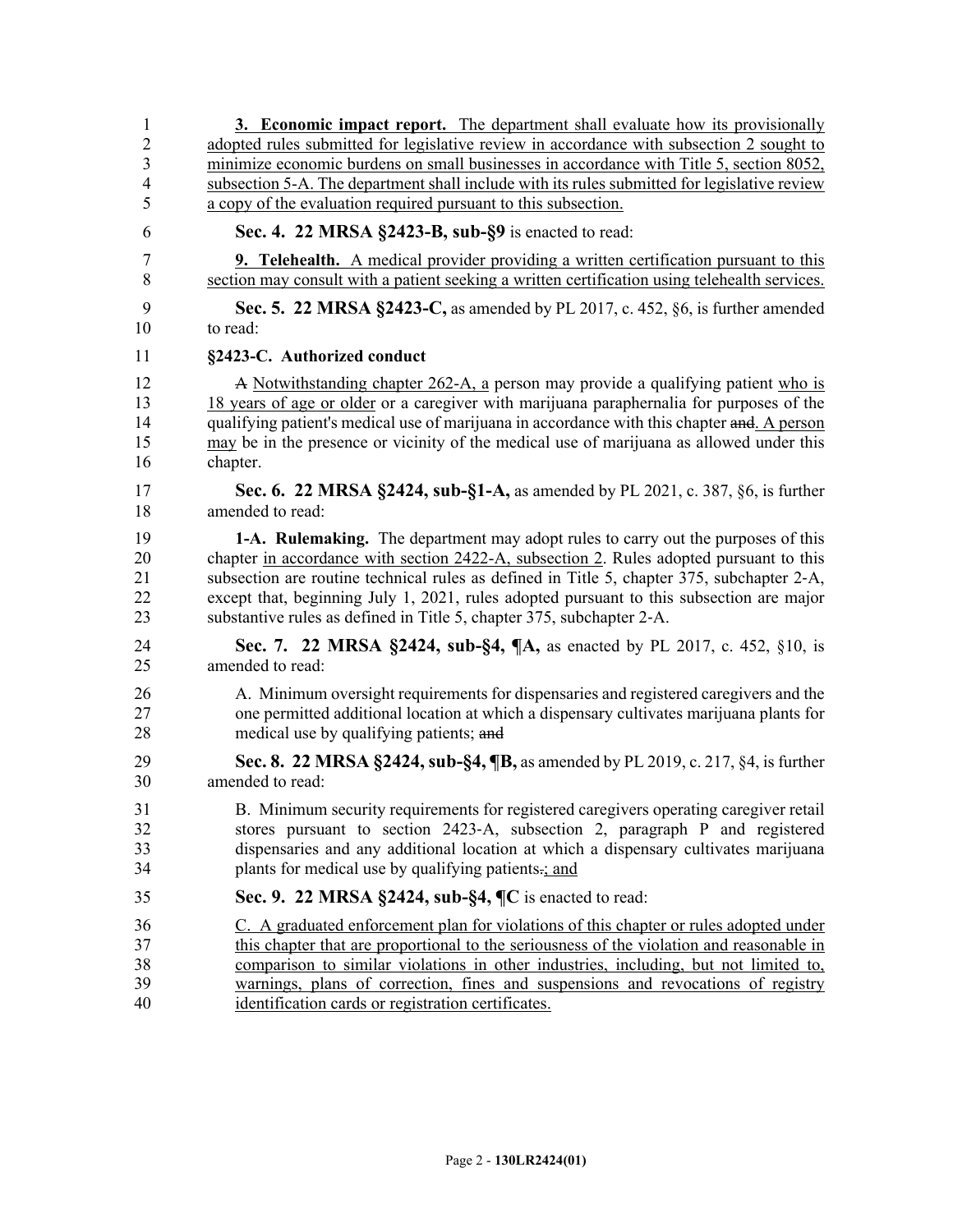| 1              | 3. Economic impact report. The department shall evaluate how its provisionally                |
|----------------|-----------------------------------------------------------------------------------------------|
| $\overline{2}$ | adopted rules submitted for legislative review in accordance with subsection 2 sought to      |
| 3              | minimize economic burdens on small businesses in accordance with Title 5, section 8052,       |
| 4              | subsection 5-A. The department shall include with its rules submitted for legislative review  |
| 5              | a copy of the evaluation required pursuant to this subsection.                                |
| 6              | Sec. 4. 22 MRSA §2423-B, sub-§9 is enacted to read:                                           |
| 7              | <b>9. Telehealth.</b> A medical provider providing a written certification pursuant to this   |
| 8              | section may consult with a patient seeking a written certification using telehealth services. |
| 9              | Sec. 5. 22 MRSA §2423-C, as amended by PL 2017, c. 452, §6, is further amended                |
| 10             | to read:                                                                                      |
| 11             | §2423-C. Authorized conduct                                                                   |
| 12             | A Notwithstanding chapter 262-A, a person may provide a qualifying patient who is             |
| 13             | 18 years of age or older or a caregiver with marijuana paraphernalia for purposes of the      |
| 14             | qualifying patient's medical use of marijuana in accordance with this chapter and. A person   |
| 15             | may be in the presence or vicinity of the medical use of marijuana as allowed under this      |
| 16             | chapter.                                                                                      |
| 17             | Sec. 6. 22 MRSA §2424, sub-§1-A, as amended by PL 2021, c. 387, §6, is further                |
| 18             | amended to read:                                                                              |
| 19             | 1-A. Rulemaking. The department may adopt rules to carry out the purposes of this             |
| 20             | chapter in accordance with section 2422-A, subsection 2. Rules adopted pursuant to this       |
| 21             | subsection are routine technical rules as defined in Title 5, chapter 375, subchapter 2-A,    |
| 22             | except that, beginning July 1, 2021, rules adopted pursuant to this subsection are major      |
| 23             | substantive rules as defined in Title 5, chapter 375, subchapter 2-A.                         |
| 24             | Sec. 7. 22 MRSA §2424, sub-§4, ¶A, as enacted by PL 2017, c. 452, §10, is                     |
| 25             | amended to read:                                                                              |
| 26             | A. Minimum oversight requirements for dispensaries and registered caregivers and the          |
| 27             | one permitted additional location at which a dispensary cultivates marijuana plants for       |
| 28             | medical use by qualifying patients; and                                                       |
| 29             | Sec. 8. 22 MRSA §2424, sub-§4, ¶B, as amended by PL 2019, c. 217, §4, is further              |
| 30             | amended to read:                                                                              |
| 31             | B. Minimum security requirements for registered caregivers operating caregiver retail         |
| 32             | stores pursuant to section 2423-A, subsection 2, paragraph P and registered                   |
| 33             | dispensaries and any additional location at which a dispensary cultivates marijuana           |
| 34             | plants for medical use by qualifying patients-; and                                           |
| 35             | Sec. 9. 22 MRSA §2424, sub-§4, ¶C is enacted to read:                                         |
| 36             | C. A graduated enforcement plan for violations of this chapter or rules adopted under         |
| 37             | this chapter that are proportional to the seriousness of the violation and reasonable in      |
| 38             | comparison to similar violations in other industries, including, but not limited to,          |
| 39             | warnings, plans of correction, fines and suspensions and revocations of registry              |
| 40             | identification cards or registration certificates.                                            |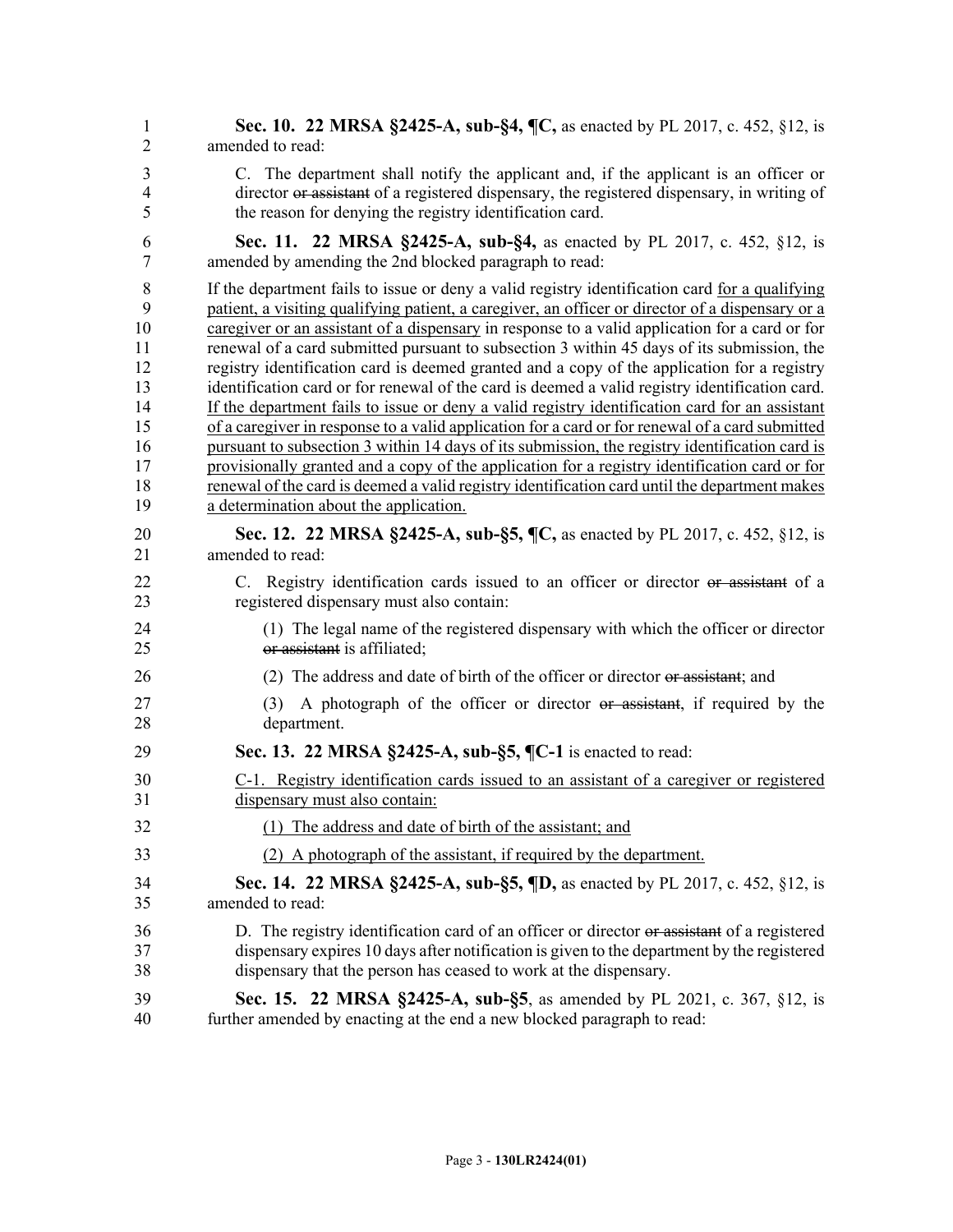| 1              | Sec. 10. 22 MRSA §2425-A, sub-§4, ¶C, as enacted by PL 2017, c. 452, §12, is                      |
|----------------|---------------------------------------------------------------------------------------------------|
| $\overline{2}$ | amended to read:                                                                                  |
| 3              | C. The department shall notify the applicant and, if the applicant is an officer or               |
| 4              | director or assistant of a registered dispensary, the registered dispensary, in writing of        |
| 5              | the reason for denying the registry identification card.                                          |
| 6              | Sec. 11. 22 MRSA §2425-A, sub-§4, as enacted by PL 2017, c. 452, §12, is                          |
| $\overline{7}$ | amended by amending the 2nd blocked paragraph to read:                                            |
| 8              | If the department fails to issue or deny a valid registry identification card for a qualifying    |
| 9              | patient, a visiting qualifying patient, a caregiver, an officer or director of a dispensary or a  |
| 10             | caregiver or an assistant of a dispensary in response to a valid application for a card or for    |
| 11             | renewal of a card submitted pursuant to subsection 3 within 45 days of its submission, the        |
| 12             | registry identification card is deemed granted and a copy of the application for a registry       |
| 13             | identification card or for renewal of the card is deemed a valid registry identification card.    |
| 14             | If the department fails to issue or deny a valid registry identification card for an assistant    |
| 15             | of a caregiver in response to a valid application for a card or for renewal of a card submitted   |
| 16             | pursuant to subsection 3 within 14 days of its submission, the registry identification card is    |
| 17             | provisionally granted and a copy of the application for a registry identification card or for     |
| 18             | renewal of the card is deemed a valid registry identification card until the department makes     |
| 19             | a determination about the application.                                                            |
| 20             | Sec. 12. 22 MRSA §2425-A, sub-§5, ¶C, as enacted by PL 2017, c. 452, §12, is                      |
| 21             | amended to read:                                                                                  |
| 22             | C. Registry identification cards issued to an officer or director or assistant of a               |
| 23             | registered dispensary must also contain:                                                          |
| 24             | (1) The legal name of the registered dispensary with which the officer or director                |
| 25             | or assistant is affiliated;                                                                       |
| 26             | (2) The address and date of birth of the officer or director or assistant; and                    |
| 27<br>28       | A photograph of the officer or director or assistant, if required by the<br>(3)<br>department.    |
| 29             | Sec. 13. 22 MRSA §2425-A, sub-§5, ¶C-1 is enacted to read:                                        |
| 30             | C-1. Registry identification cards issued to an assistant of a caregiver or registered            |
| 31             | dispensary must also contain:                                                                     |
| 32             | (1) The address and date of birth of the assistant; and                                           |
| 33             | (2) A photograph of the assistant, if required by the department.                                 |
| 34             | <b>Sec. 14. 22 MRSA §2425-A, sub-§5, <math>\P</math>D,</b> as enacted by PL 2017, c. 452, §12, is |
| 35             | amended to read:                                                                                  |
| 36             | D. The registry identification card of an officer or director or assistant of a registered        |
| 37             | dispensary expires 10 days after notification is given to the department by the registered        |
| 38             | dispensary that the person has ceased to work at the dispensary.                                  |
| 39             | Sec. 15. 22 MRSA §2425-A, sub-§5, as amended by PL 2021, c. 367, §12, is                          |
| 40             | further amended by enacting at the end a new blocked paragraph to read:                           |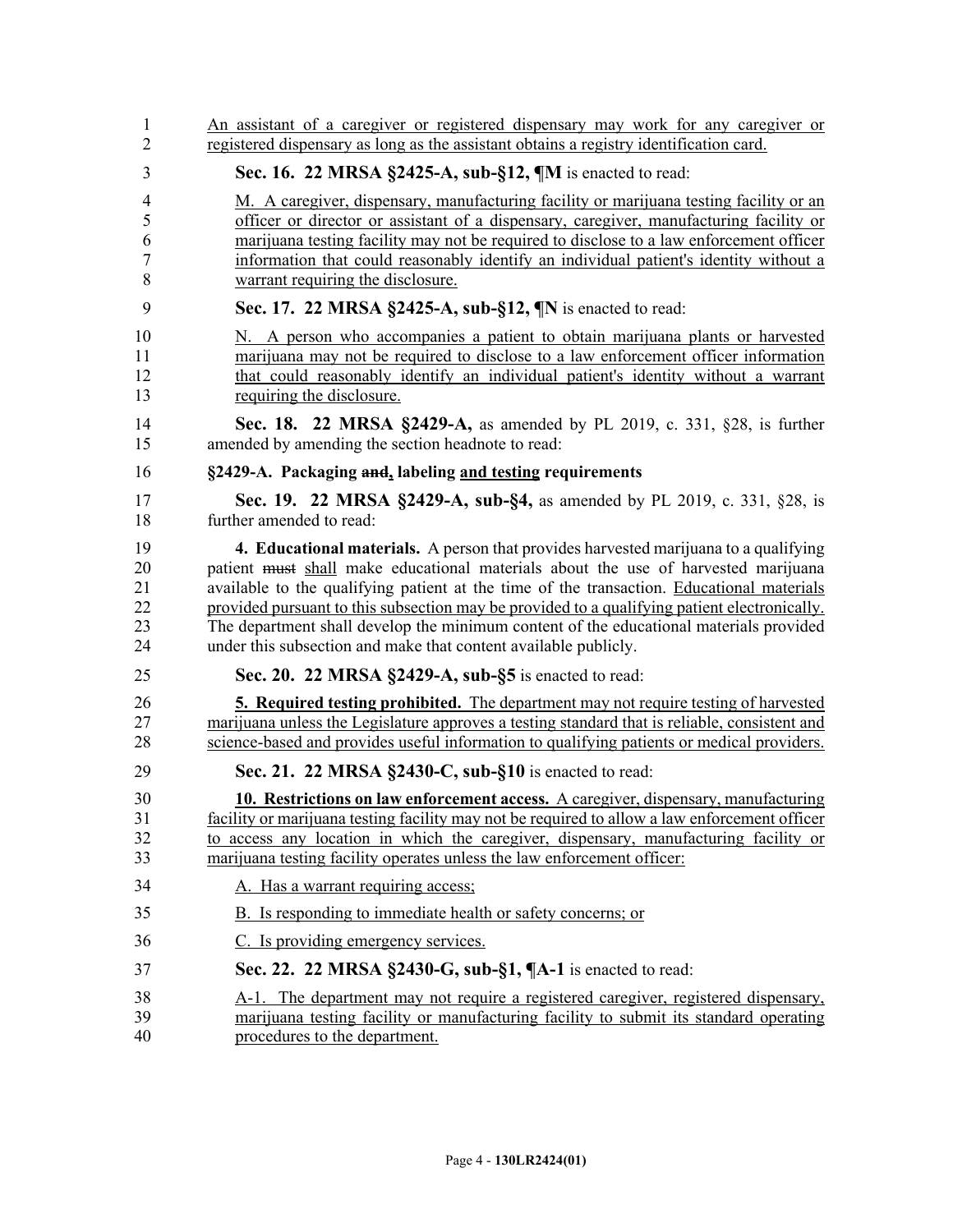| 1              | An assistant of a caregiver or registered dispensary may work for any caregiver or            |
|----------------|-----------------------------------------------------------------------------------------------|
| $\overline{2}$ | registered dispensary as long as the assistant obtains a registry identification card.        |
| 3              | Sec. 16. 22 MRSA §2425-A, sub-§12, ¶M is enacted to read:                                     |
| 4              | M. A caregiver, dispensary, manufacturing facility or marijuana testing facility or an        |
| 5              | officer or director or assistant of a dispensary, caregiver, manufacturing facility or        |
| 6              | marijuana testing facility may not be required to disclose to a law enforcement officer       |
| 7              | information that could reasonably identify an individual patient's identity without a         |
| 8              | warrant requiring the disclosure.                                                             |
| 9              | Sec. 17. 22 MRSA §2425-A, sub-§12, ¶N is enacted to read:                                     |
| 10             | N. A person who accompanies a patient to obtain marijuana plants or harvested                 |
| 11             | marijuana may not be required to disclose to a law enforcement officer information            |
| 12             | that could reasonably identify an individual patient's identity without a warrant             |
| 13             | requiring the disclosure.                                                                     |
| 14             | Sec. 18. 22 MRSA §2429-A, as amended by PL 2019, c. 331, §28, is further                      |
| 15             | amended by amending the section headnote to read:                                             |
| 16             | §2429-A. Packaging and, labeling and testing requirements                                     |
| 17             | Sec. 19. 22 MRSA §2429-A, sub-§4, as amended by PL 2019, c. 331, §28, is                      |
| 18             | further amended to read:                                                                      |
| 19             | 4. Educational materials. A person that provides harvested marijuana to a qualifying          |
| 20             | patient must shall make educational materials about the use of harvested marijuana            |
| 21             | available to the qualifying patient at the time of the transaction. Educational materials     |
| 22             | provided pursuant to this subsection may be provided to a qualifying patient electronically.  |
| 23             | The department shall develop the minimum content of the educational materials provided        |
| 24             | under this subsection and make that content available publicly.                               |
| 25             | Sec. 20. 22 MRSA §2429-A, sub-§5 is enacted to read:                                          |
| 26             | <b>5. Required testing prohibited.</b> The department may not require testing of harvested    |
| 27             | marijuana unless the Legislature approves a testing standard that is reliable, consistent and |
| 28             | science-based and provides useful information to qualifying patients or medical providers.    |
| 29             | Sec. 21. 22 MRSA §2430-C, sub-§10 is enacted to read:                                         |
| 30             | <b>10. Restrictions on law enforcement access.</b> A caregiver, dispensary, manufacturing     |
| 31             | facility or marijuana testing facility may not be required to allow a law enforcement officer |
| 32             | to access any location in which the caregiver, dispensary, manufacturing facility or          |
| 33             | marijuana testing facility operates unless the law enforcement officer:                       |
| 34             | A. Has a warrant requiring access;                                                            |
| 35             | B. Is responding to immediate health or safety concerns; or                                   |
| 36             | C. Is providing emergency services.                                                           |
| 37             | Sec. 22. 22 MRSA §2430-G, sub-§1, ¶A-1 is enacted to read:                                    |
| 38             | A-1. The department may not require a registered caregiver, registered dispensary,            |
| 39             | marijuana testing facility or manufacturing facility to submit its standard operating         |
| 40             | procedures to the department.                                                                 |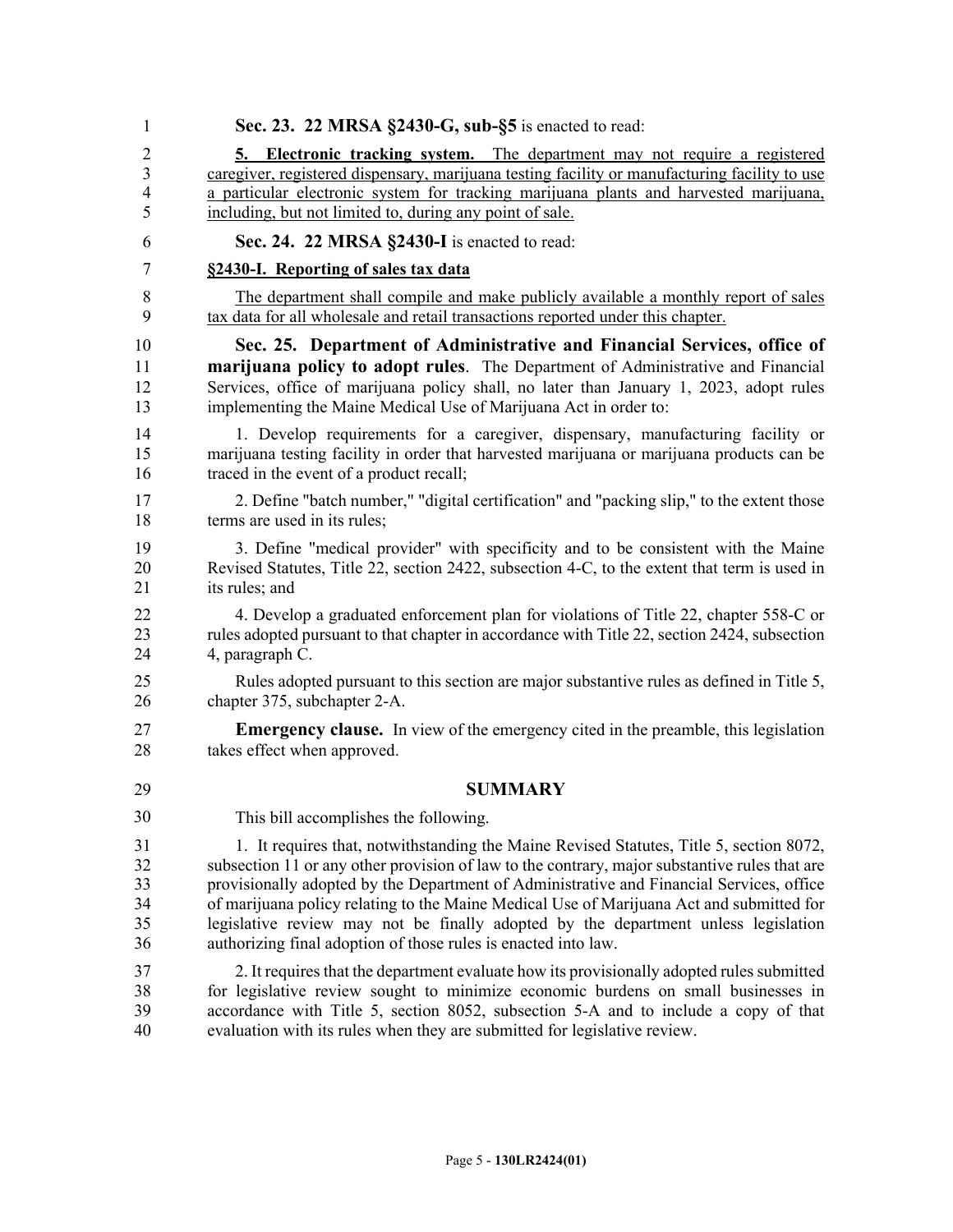| 1  | Sec. 23. 22 MRSA §2430-G, sub-§5 is enacted to read:                                          |
|----|-----------------------------------------------------------------------------------------------|
| 2  | 5. Electronic tracking system. The department may not require a registered                    |
| 3  | caregiver, registered dispensary, marijuana testing facility or manufacturing facility to use |
| 4  | a particular electronic system for tracking marijuana plants and harvested marijuana,         |
| 5  | including, but not limited to, during any point of sale.                                      |
| 6  | Sec. 24. 22 MRSA §2430-I is enacted to read:                                                  |
| 7  | §2430-I. Reporting of sales tax data                                                          |
| 8  | The department shall compile and make publicly available a monthly report of sales            |
| 9  | tax data for all wholesale and retail transactions reported under this chapter.               |
| 10 | Sec. 25. Department of Administrative and Financial Services, office of                       |
| 11 | marijuana policy to adopt rules. The Department of Administrative and Financial               |
| 12 | Services, office of marijuana policy shall, no later than January 1, 2023, adopt rules        |
| 13 | implementing the Maine Medical Use of Marijuana Act in order to:                              |
| 14 | 1. Develop requirements for a caregiver, dispensary, manufacturing facility or                |
| 15 | marijuana testing facility in order that harvested marijuana or marijuana products can be     |
| 16 | traced in the event of a product recall;                                                      |
| 17 | 2. Define "batch number," "digital certification" and "packing slip," to the extent those     |
| 18 | terms are used in its rules;                                                                  |
| 19 | 3. Define "medical provider" with specificity and to be consistent with the Maine             |
| 20 | Revised Statutes, Title 22, section 2422, subsection 4-C, to the extent that term is used in  |
| 21 | its rules; and                                                                                |
| 22 | 4. Develop a graduated enforcement plan for violations of Title 22, chapter 558-C or          |
| 23 | rules adopted pursuant to that chapter in accordance with Title 22, section 2424, subsection  |
| 24 | 4, paragraph C.                                                                               |
| 25 | Rules adopted pursuant to this section are major substantive rules as defined in Title 5,     |
| 26 | chapter 375, subchapter 2-A.                                                                  |
| 27 | <b>Emergency clause.</b> In view of the emergency cited in the preamble, this legislation     |
| 28 | takes effect when approved.                                                                   |
| 29 | <b>SUMMARY</b>                                                                                |
| 30 | This bill accomplishes the following.                                                         |
| 31 | 1. It requires that, notwithstanding the Maine Revised Statutes, Title 5, section 8072,       |
| 32 | subsection 11 or any other provision of law to the contrary, major substantive rules that are |
| 33 | provisionally adopted by the Department of Administrative and Financial Services, office      |
| 34 | of marijuana policy relating to the Maine Medical Use of Marijuana Act and submitted for      |
| 35 | legislative review may not be finally adopted by the department unless legislation            |
| 36 | authorizing final adoption of those rules is enacted into law.                                |
| 37 | 2. It requires that the department evaluate how its provisionally adopted rules submitted     |
| 38 | for legislative review sought to minimize economic burdens on small businesses in             |
| 39 | accordance with Title 5, section 8052, subsection 5-A and to include a copy of that           |
| 40 | evaluation with its rules when they are submitted for legislative review.                     |